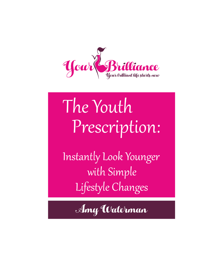

# The Youth Prescription:

Instantly Look Younger with Simple Lifestyle Changes

Amy Waterman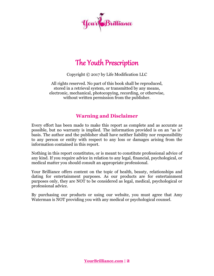

### The Youth Prescription

Copyright © 2017 by Life Modification LLC

All rights reserved. No part of this book shall be reproduced, stored in a retrieval system, or transmitted by any means, electronic, mechanical, photocopying, recording, or otherwise, without written permission from the publisher.

#### **Warning and Disclaimer**

Every effort has been made to make this report as complete and as accurate as possible, but no warranty is implied. The information provided is on an "as is" basis. The author and the publisher shall have neither liability nor responsibility to any person or entity with respect to any loss or damages arising from the information contained in this report.

Nothing in this report constitutes, or is meant to constitute professional advice of any kind. If you require advice in relation to any legal, financial, psychological, or medical matter you should consult an appropriate professional.

Your Brilliance offers content on the topic of health, beauty, relationships and dating for entertainment purposes. As our products are for entertainment purposes only, they are NOT to be considered as legal, medical, psychological or professional advice.

By purchasing our products or using our website, you must agree that Amy Waterman is NOT providing you with any medical or psychological counsel.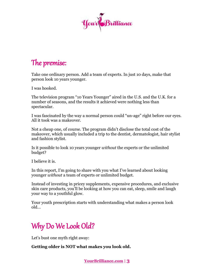

### The premise:

Take one ordinary person. Add a team of experts. In just 10 days, make that person look 10 years younger.

I was hooked.

The television program "10 Years Younger" aired in the U.S. and the U.K. for a number of seasons, and the results it achieved were nothing less than spectacular.

I was fascinated by the way a normal person could "un-age" right before our eyes. All it took was a makeover.

Not a cheap one, of course. The program didn't disclose the total cost of the makeover, which usually included a trip to the dentist, dermatologist, hair stylist and fashion stylist.

Is it possible to look 10 years younger *without* the experts or the unlimited budget?

I believe it is.

In this report, I'm going to share with you what I've learned about looking younger *without* a team of experts or unlimited budget.

Instead of investing in pricey supplements, expensive procedures, and exclusive skin care products, you'll be looking at how you can eat, sleep, smile and laugh your way to a youthful glow.

Your youth prescription starts with understanding what makes a person look old…

# Why Do We Look Old?

Let's bust one myth right away:

**Getting older is NOT what makes you look old.**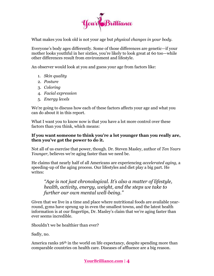

What makes you look old is not your age but *physical changes in your body.*

Everyone's body ages differently. Some of those differences are genetic—if your mother looks youthful in her sixties, you're likely to look great at 60 too—while other differences result from environment and lifestyle.

An observer would look at you and guess your age from factors like:

- 1. *Skin quality*
- 2. *Posture*
- 3. *Coloring*
- 4. *Facial expression*
- 5. *Energy levels*

We're going to discuss how each of these factors affects your age and what you can do about it in this report.

What I want you to know now is that you have a lot more control over these factors than you think, which means:

#### **If you want someone to think you're a lot younger than you really are, then you've got the power to do it.**

Not all of us exercise that power, though. Dr. Steven Masley, author of *Ten Years Younger,* believes we're aging faster than we need be.

He claims that nearly half of all Americans are experiencing *accelerated aging,* a speeding-up of the aging process. Our lifestyles and diet play a big part. He writes:

#### *"Age is not just chronological. It's also a matter of lifestyle, health, activity, energy, weight, and the steps we take to further our own mental well-being."*

Given that we live in a time and place where nutritional foods are available yearround, gyms have sprung up in even the smallest towns, and the latest health information is at our fingertips, Dr. Masley's claim that we're aging faster than ever seems incredible.

Shouldn't we be healthier than ever?

Sadly, no.

America ranks 26<sup>th</sup> in the world on life expectancy, despite spending more than comparable countries on health care. Diseases of affluence are a big reason.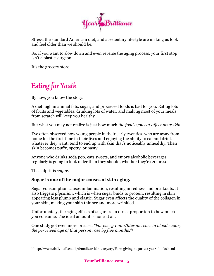

Stress, the standard American diet, and a sedentary lifestyle are making us look and feel older than we should be.

So, if you want to slow down and even reverse the aging process, your first stop isn't a plastic surgeon.

It's the grocery store.

# Eating for Youth

By now, you know the story.

A diet high in animal fats, sugar, and processed foods is bad for you. Eating lots of fruits and vegetables, drinking lots of water, and making most of your meals from scratch will keep you healthy.

But what you may not realize is just how much *the foods you eat affect your skin.*

I've often observed how young people in their early twenties, who are away from home for the first time in their lives and enjoying the ability to eat and drink whatever they want, tend to end up with skin that's noticeably unhealthy. Their skin becomes puffy, spotty, or pasty.

Anyone who drinks soda pop, eats sweets, and enjoys alcoholic beverages regularly is going to look older than they should, whether they're 20 or 40.

The culprit is *sugar*.

 $\overline{a}$ 

#### **Sugar is one of the major causes of skin aging.**

Sugar consumption causes inflammation, resulting in redness and breakouts. It also triggers *glycation*, which is when sugar binds to protein, resulting in skin appearing less plump and elastic. Sugar even affects the quality of the collagen in your skin, making your skin thinner and more wrinkled.

Unfortunately, the aging effects of sugar are in direct proportion to how much you consume. The ideal amount is none at all.

One study got even more precise: *"For every 1 mm/liter increase in blood sugar, the perceived age of that person rose by five months."<sup>1</sup>*

<sup>1</sup> http://www.dailymail.co.uk/femail/article-2125217/How-giving-sugar-20-years-looks.html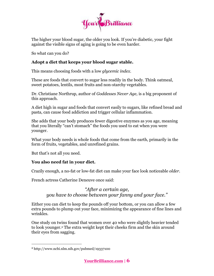

The higher your blood sugar, the older you look. If you're diabetic, your fight against the visible signs of aging is going to be even harder.

So what can you do?

#### **Adopt a diet that keeps your blood sugar stable.**

This means choosing foods with a low *glycemic index.*

These are foods that convert to sugar less readily in the body. Think oatmeal, sweet potatoes, lentils, most fruits and non-starchy vegetables.

Dr. Christiane Northrup, author of *Goddesses Never Age,* is a big proponent of this approach.

A diet high in sugar and foods that convert easily to sugars, like refined bread and pasta, can cause food addiction and trigger cellular inflammation.

She adds that your body produces fewer digestive enzymes as you age, meaning that you literally "can't stomach" the foods you used to eat when you were younger.

What your body needs is whole foods that come from the earth, primarily in the form of fruits, vegetables, and unrefined grains.

But that's not all you need.

#### **You also need fat in your diet.**

Crazily enough, a no-fat or low-fat diet can make your face look noticeable *older.*

French actress Catherine Deneuve once said:

*"After a certain age, you have to choose between your fanny and your face."*

Either you can diet to keep the pounds off your bottom, or you can allow a few extra pounds to plump out your face, minimizing the appearance of fine lines and wrinkles.

One study on twins found that women over 40 who were slightly heavier tended to look younger.<sup>2</sup> The extra weight kept their cheeks firm and the skin around their eyes from sagging.

<sup>2</sup> http://www.ncbi.nlm.nih.gov/pubmed/19337100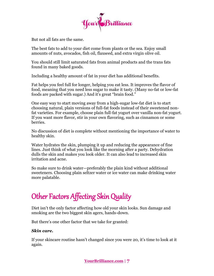

But not all fats are the same.

The best fats to add to your diet come from plants or the sea. Enjoy small amounts of nuts, avocados, fish oil, flaxseed, and extra virgin olive oil.

You should still limit saturated fats from animal products and the trans fats found in many baked goods.

Including a healthy amount of fat in your diet has additional benefits.

Fat helps you feel full for longer, helping you eat less. It improves the flavor of food, meaning that you need less sugar to make it tasty. (Many no-fat or low-fat foods are packed with sugar.) And it's great "brain food."

One easy way to start moving away from a high-sugar low-fat diet is to start choosing natural, plain versions of full-fat foods instead of their sweetened nonfat varieties. For example, choose plain full-fat yogurt over vanilla non-fat yogurt. If you want more flavor, stir in your own flavoring, such as cinnamon or some berries.

No discussion of diet is complete without mentioning the importance of water to healthy skin.

Water hydrates the skin, plumping it up and reducing the appearance of fine lines. Just think of what you look like the morning after a party. Dehydration dulls the skin and makes you look older. It can also lead to increased skin irritation and acne.

So make sure to drink water—preferably the plain kind without additional sweeteners. Choosing plain seltzer water or ice water can make drinking water more palatable.

# Other Factors Affecting Skin Quality

Diet isn't the only factor affecting how old your skin looks. Sun damage and smoking are the two biggest skin agers, hands-down.

But there's one other factor that we take for granted:

#### *Skin care.*

If your skincare routine hasn't changed since you were 20, it's time to look at it again.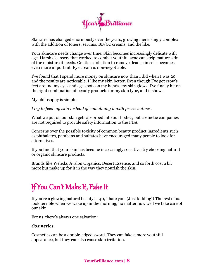

Skincare has changed enormously over the years, growing increasingly complex with the addition of toners, serums, BB/CC creams, and the like.

Your skincare needs change over time. Skin becomes increasingly delicate with age. Harsh cleansers that worked to combat youthful acne can strip mature skin of the moisture it needs. Gentle exfoliation to remove dead skin cells becomes even more important. Eye cream is non-negotiable.

I've found that I spend more money on skincare now than I did when I was 20, and the results are noticeable. I like my skin better. Even though I've got crow's feet around my eyes and age spots on my hands, my skin glows. I've finally hit on the right combination of beauty products for my skin type, and it shows.

My philosophy is simple:

*I try to feed my skin instead of embalming it with preservatives.*

What we put on our skin gets absorbed into our bodies, but cosmetic companies are not required to provide safety information to the FDA.

Concerns over the possible toxicity of common beauty product ingredients such as phthalates, parabens and sulfates have encouraged many people to look for alternatives.

If you find that your skin has become increasingly sensitive, try choosing natural or organic skincare products.

Brands like Weleda, Avalon Organics, Desert Essence, and so forth cost a bit more but make up for it in the way they nourish the skin.

# If You Can't Make It, Fake It

If you're a glowing natural beauty at 40, I hate you. (Just kidding!) The rest of us look terrible when we wake up in the morning, no matter how well we take care of our skin.

For us, there's always one salvation:

#### *Cosmetics.*

Cosmetics can be a double-edged sword. They can fake a more youthful appearance, but they can also cause skin irritation.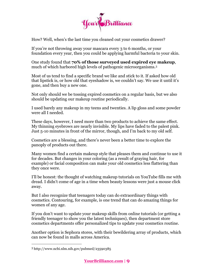

How? Well, when's the last time you cleaned out your cosmetics drawer?

If you're not throwing away your mascara every 3 to 6 months, or your foundation every year, then you could be applying harmful bacteria to your skin.

One study found that **70% of those surveyed used expired eye makeup**, much of which harbored high levels of pathogenic microorganisms.<sup>3</sup>

Most of us tend to find a specific brand we like and stick to it. If asked how old that lipstick is, or how old that eyeshadow is, we couldn't say. We use it until it's gone, and then buy a new one.

Not only should we be tossing expired cosmetics on a regular basis, but we also should be updating our makeup routine periodically.

I used barely any makeup in my teens and twenties. A lip gloss and some powder were all I needed.

These days, however, I need more than two products to achieve the same effect. My thinning eyebrows are nearly invisible. My lips have faded to the palest pink. Just 5-10 minutes in front of the mirror, though, and I'm back to my old self.

Cosmetics are a blessing, and there's never been a better time to explore the panoply of products out there.

Many women find a certain makeup style that pleases them and continue to use it for decades. But changes in your coloring (as a result of graying hair, for example) or facial composition can make your old cosmetics less flattering than they once were.

I'll be honest: the thought of watching makeup tutorials on YouTube fills me with dread. I didn't come of age in a time when beauty lessons were just a mouse click away.

But I also recognize that teenagers today can do extraordinary things with cosmetics. Contouring, for example, is one trend that can do amazing things for women of any age.

If you don't want to update your makeup skills from online tutorials (or getting a friendly teenager to show you the latest techniques), then department store cosmetics departments offer personalized tips to update your cosmetics routine.

Another option is Sephora stores, with their bewildering array of products, which can now be found in malls across America.

<sup>3</sup> http://www.ncbi.nlm.nih.gov/pubmed/23590385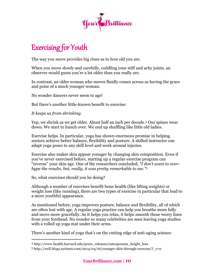

# Exercising for Youth

The way you move provides big clues as to how old you are.

When you move slowly and carefully, coddling your stiff and achy joints, an observer would guess you're a lot older than you really are.

In contrast, an older woman who moves fluidly comes across as having the grace and poise of a much younger woman.

No wonder dancers never seem to age!

But there's another little-known benefit to exercise:

*It keeps us from shrinking.*

Yep, we shrink as we get older. About half an inch per decade.<sup>4</sup> Our spines wear down. We start to hunch over. We end up shuffling like little old ladies.

Exercise helps. In particular, yoga has shown enormous promise in helping seniors achieve better balance, flexibility and posture. A skilled instructor can adapt yoga poses to any skill level and work around injuries.

Exercise also makes skin appear younger by changing skin composition. Even if you've never exercised before, starting up a regular exercise program can "reverse" your skin age. One of the researchers concluded, *"I don't want to overhype the results, but, really, it was pretty remarkable to see."*<sup>5</sup>

So, what exercises should you be doing?

 $\overline{a}$ 

Although a number of exercises benefit bone health (like lifting weights) or weight loss (like running), there are two types of exercise in particular that lead to a more youthful appearance.

As mentioned before, yoga improves posture, balance and flexibility, all of which are often lost with age. A regular yoga practice can help you breathe more fully and move more gracefully. As it helps you relax, it helps smooth those worry lines from your forehead. No wonder so many celebrities are seen leaving yoga studios with a rolled up yoga mat under their arms.

There's another kind of yoga that's on the cutting edge of anti-aging science:

<sup>4</sup> http://www.health.harvard.edu/press\_releases/osteoporosis\_height\_loss

<sup>5</sup> http://well.blogs.nytimes.com/2014/04/16/younger-skin-through-exercise/?\_r=0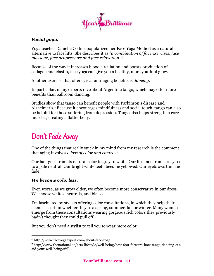

#### *Facial yoga.*

Yoga teacher Danielle Collins popularized her Face Yoga Method as a natural alternative to face lifts. She describes it as *"a combination of face exercises, face massage, face acupressure and face relaxation."<sup>6</sup>*

Because of the way it increases blood circulation and boosts production of collagen and elastin, face yoga can give you a healthy, more youthful glow.

Another exercise that offers great anti-aging benefits is *dancing*.

In particular, many experts rave about Argentine tango, which may offer more benefits than ballroom dancing.

Studies show that tango can benefit people with Parkinson's disease and Alzheimer's.<sup>7</sup> Because it encourages mindfulness and social touch, tango can also be helpful for those suffering from depression. Tango also helps strengthen core muscles, creating a flatter belly.

### Don't Fade Away

One of the things that really stuck in my mind from my research is the comment that aging involves *a loss of color and contrast.*

Our hair goes from its natural color to gray to white. Our lips fade from a rosy red to a pale neutral. Our bright white teeth become yellowed. Our eyebrows thin and fade.

#### *We become colorless.*

 $\overline{a}$ 

Even worse, as we grow older, we often become more conservative in our dress. We choose whites, neutrals, and blacks.

I'm fascinated by stylists offering color consultations, in which they help their clients ascertain whether they're a spring, summer, fall or winter. Many women emerge from these consultations wearing gorgeous rich colors they previously hadn't thought they could pull off.

But you don't need a stylist to tell you to wear more color.

<sup>6</sup> http://www.faceyogaexpert.com/about-face-yoga

<sup>7</sup> http://www.thenational.ae/arts-lifestyle/well-being/best-foot-forward-how-tango-dancing-canaid-your-well-being#full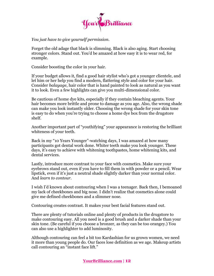

*You just have to give yourself permission.*

Forget the old adage that black is slimming. Black is also aging. Start choosing stronger colors. Stand out. You'd be amazed at how easy it is to wear red, for example.

Consider boosting the color in your hair.

If your budget allows it, find a good hair stylist who's got a younger clientele, and let him or her help you find a modern, flattering style and color for your hair. Consider *balayage*, hair color that is hand painted to look as natural as you want it to look. Even a few highlights can give you multi-dimensional color.

Be cautious of home dye kits, especially if they contain bleaching agents. Your hair becomes more brittle and prone to damage as you age. Also, the wrong shade can make you look instantly older. Choosing the wrong shade for your skin tone is easy to do when you're trying to choose a home dye box from the drugstore shelf.

Another important part of "youthifying" your appearance is restoring the brilliant whiteness of your teeth.

Back in my "10 Years Younger"-watching days, I was amazed at how many participants got dental work done. Whiter teeth make you look younger. These days, it's easy to achieve with whitening toothpastes, home whitening kits, and dental services.

Lastly, introduce more contrast to your face with cosmetics. Make sure your eyebrows stand out, even if you have to fill them in with powder or a pencil. Wear lipstick, even if it's just a neutral shade slightly darker than your normal color. And *learn to contour.*

I wish I'd known about contouring when I was a teenager. Back then, I bemoaned my lack of cheekbones and big nose. I didn't realize that cosmetics alone could give me defined cheekbones and a slimmer nose.

Contouring creates contrast. It makes your best facial features stand out.

There are plenty of tutorials online and plenty of products in the drugstore to make contouring easy. All you need is a good brush and a darker shade than your skin tone. (Be careful if you choose a bronzer, as they can be too orangey.) You can also use a highlighter to add luminosity.

Although contouring can feel a bit too Kardashian for us grown women, we need it more than young people do. Our faces lose definition as we age. Makeup artists call contouring an "instant face lift."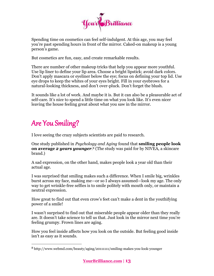

Spending time on cosmetics can feel self-indulgent. At this age, you may feel you're past spending hours in front of the mirror. Caked-on makeup is a young person's game.

But cosmetics are fun, easy, and create remarkable results.

There are number of other makeup tricks that help you appear more youthful. Use lip liner to define your lip area. Choose a bright lipstick; avoid dark colors. Don't apply mascara or eyeliner below the eye; focus on defining your top lid. Use eye drops to keep the whites of your eyes bright. Fill in your eyebrows for a natural-looking thickness, and don't over-pluck. Don't forget the blush.

It sounds like a lot of work. And maybe it is. But it can also be a pleasurable act of self-care. It's nice to spend a little time on what you look like. It's even nicer leaving the house feeling great about what you saw in the mirror.

## Are You Smiling?

 $\overline{a}$ 

I love seeing the crazy subjects scientists are paid to research.

One study published in *Psychology and Aging* found that **smiling people look on average** *2 years younger*. <sup>8</sup> (The study was paid for by NIVEA, a skincare brand.)

A sad expression, on the other hand, makes people look a year old than their actual age.

I was surprised that smiling makes such a difference. When I smile big, wrinkles burst across my face, making me—or so I always assumed—look my age. The only way to get wrinkle-free selfies is to smile politely with mouth only, or maintain a neutral expression.

How great to find out that even crow's feet can't make a dent in the youthifying power of a smile!

I wasn't surprised to find out that miserable people appear older than they really are. It doesn't take science to tell us that. Just look in the mirror next time you're feeling grumpy. Frown lines are aging.

How you feel inside affects how you look on the outside. But feeling good inside isn't as easy as it sounds.

<sup>8</sup> http://www.webmd.com/beauty/aging/20111111/smiling-makes-you-look-younger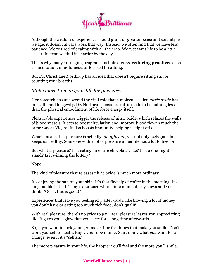

Although the wisdom of experience should grant us greater peace and serenity as we age, it doesn't always work that way. Instead, we often find that we have less patience. We're tired of dealing with all the crap. We just want life to be a little easier. Instead we find it's harder by the day.

That's why many anti-aging programs include **stress-reducing practices** such as meditation, mindfulness, or focused breathing.

But Dr. Christiane Northrup has an idea that doesn't require sitting still or counting your breaths:

#### *Make more time in your life for pleasure.*

Her research has uncovered the vital role that a molecule called *nitric oxide* has in health and longevity. Dr. Northrup considers nitric oxide to be nothing less than the physical embodiment of life force energy itself.

Pleasurable experiences trigger the release of nitric oxide, which relaxes the walls of blood vessels. It acts to boost circulation and improve blood flow in much the same way as Viagra. It also boosts immunity, helping us fight off disease.

Which means that pleasure is actually *life-affirming*. It not only feels good but keeps us healthy. Someone with a lot of pleasure in her life has a lot to live for.

But what is pleasure? Is it eating an entire chocolate cake? Is it a one-night stand? Is it winning the lottery?

Nope.

The kind of pleasure that releases nitric oxide is much more ordinary.

It's enjoying the sun on your skin. It's that first sip of coffee in the morning. It's a long bubble bath. It's any experience where time momentarily slows and you think, "Gosh, this is good!"

Experiences that leave you feeling icky afterwards, like blowing a lot of money you don't have or eating too much rich food, don't qualify.

With real pleasure, there's no price to pay. Real pleasure leaves you appreciating life. It gives you a glow that you carry for a long time afterwards.

So, if you want to look younger, make time for things that make you smile. Don't work yourself to death. Enjoy your down time. Start doing what *you* want for a change, even if it's "selfish."

The more pleasure in your life, the happier you'll feel and the more you'll smile,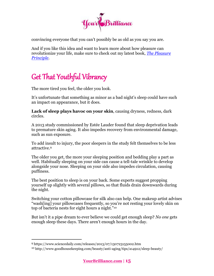

convincing everyone that you can't possibly be as old as you say you are.

And if you like this idea and want to learn more about how pleasure can revolutionize your life, make sure to check out my latest book, *[The Pleasure](https://yourbrilliance.com/pleasure-principle/)  [Principle](https://yourbrilliance.com/pleasure-principle/)*.

# Get That Youthful Vibrancy

The more tired you feel, the older you look.

It's unfortunate that something as minor as a bad night's sleep could have such an impact on appearance, but it does.

**Lack of sleep plays havoc on your skin**, causing dryness, redness, dark circles.

A 2013 study commissioned by Estée Lauder found that sleep deprivation leads to premature skin aging. It also impedes recovery from environmental damage, such as sun exposure.

To add insult to injury, the poor sleepers in the study felt themselves to be less attractive.<sup>9</sup>

The older you get, the more your sleeping position and bedding play a part as well. Habitually sleeping on your side can cause a tell-tale wrinkle to develop alongside your nose. Sleeping on your side also impedes circulation, causing puffiness.

The best position to sleep is on your back. Some experts suggest propping yourself up slightly with several pillows, so that fluids drain downwards during the night.

Switching your cotton pillowcase for silk also can help. One makeup artist advises "wash[ing] your pillowcases frequently, so you're not resting your lovely skin on top of bacteria nests for eight hours a night."<sup>10</sup>

But isn't it a pipe dream to ever believe we could get enough sleep? *No one* gets enough sleep these days. There aren't enough hours in the day.

<sup>9</sup> https://www.sciencedaily.com/releases/2013/07/130723155002.htm

<sup>10</sup> http://www.goodhousekeeping.com/beauty/anti-aging/tips/a14912/sleep-beauty/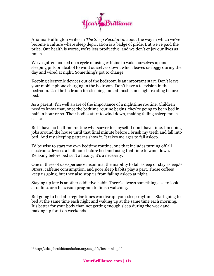

Arianna Huffington writes in *The Sleep Revolution* about the way in which we've become a culture where sleep deprivation is a badge of pride. But we've paid the price. Our health is worse, we're less productive, and we don't enjoy our lives as much.

We've gotten hooked on a cycle of using caffeine to wake ourselves up and sleeping pills or alcohol to wind ourselves down, which leaves us foggy during the day and wired at night. Something's got to change.

Keeping electronic devices out of the bedroom is an important start. Don't leave your mobile phone charging in the bedroom. Don't have a television in the bedroom. Use the bedroom for sleeping and, at most, some light reading before bed.

As a parent, I'm well aware of the importance of a nighttime routine. Children need to know that, once the bedtime routine begins, they're going to be in bed in half an hour or so. Their bodies start to wind down, making falling asleep much easier.

But I have no bedtime routine whatsoever for myself. I don't have time. I'm doing jobs around the house until that final minute before I brush my teeth and fall into bed. And my sleeping patterns show it. It takes me ages to fall asleep.

I'd be wise to start my own bedtime routine, one that includes turning off all electronic devices a half hour before bed and using that time to wind down. Relaxing before bed isn't a luxury; it's a necessity.

One in three of us experience insomnia, the inability to fall asleep or stay asleep.<sup>11</sup> Stress, caffeine consumption, and poor sleep habits play a part. Those coffees keep us going, but they also stop us from falling asleep at night.

Staying up late is another addictive habit. There's always something else to look at online, or a television program to finish watching.

But going to bed at irregular times can disrupt your sleep rhythms. Start going to bed at the same time each night and waking up at the same time each morning. It's better for your body than not getting enough sleep during the week and making up for it on weekends.

<sup>11</sup> http://sleephealthfoundation.org.au/pdfs/Insomnia.pdf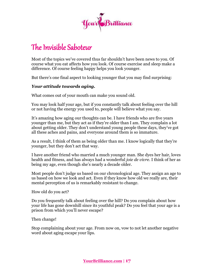

### The Invisible Saboteur

Most of the topics we've covered thus far shouldn't have been news to you. Of course what you eat affects how you look. Of course exercise and sleep make a difference. Of course feeling happy helps you look younger.

But there's one final aspect to looking younger that you may find surprising:

#### *Your attitude towards aging.*

What comes out of your mouth can make you sound old.

You may look half your age, but if you constantly talk about feeling over the hill or not having the energy you used to, people will believe what you say.

It's amazing how aging our thoughts can be. I have friends who are five years younger than me, but they act as if they're older than I am. They complain a lot about getting older. They don't understand young people these days, they've got all these aches and pains, and everyone around them is so immature.

As a result, I think of them as being older than me. I know logically that they're younger, but they don't act that way.

I have another friend who married a much younger man. She dyes her hair, loves health and fitness, and has always had a wonderful *joie de vivre*. I think of her as being my age, even though she's nearly a decade older.

Most people don't judge us based on our chronological age. They assign an age to us based on how we look and act. Even if they know how old we really are, their mental perception of us is remarkably resistant to change.

How old do you act?

Do you frequently talk about feeling over the hill? Do you complain about how your life has gone downhill since its youthful peak? Do you feel that your age is a prison from which you'll never escape?

Then change!

Stop complaining about your age. From now on, vow to not let another negative word about aging escape your lips.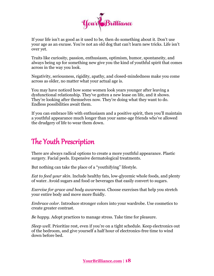

If your life isn't as good as it used to be, then do something about it. Don't use your age as an excuse. You're not an old dog that can't learn new tricks. Life isn't over yet.

Traits like curiosity, passion, enthusiasm, optimism, humor, spontaneity, and always being up for something new give you the kind of youthful spirit that comes across in the way you look.

Negativity, seriousness, rigidity, apathy, and closed-mindedness make you come across as older, no matter what your actual age is.

You may have noticed how some women look years younger after leaving a dysfunctional relationship. They've gotten a new lease on life, and it shows. They're looking after themselves now. They're doing what they want to do. Endless possibilities await them.

If you can embrace life with enthusiasm and a positive spirit, then you'll maintain a youthful appearance much longer than your same-age friends who've allowed the drudgery of life to wear them down.

### The Youth Prescription

There are always radical options to create a more youthful appearance. Plastic surgery. Facial peels. Expensive dermatological treatments.

But nothing can take the place of a "youthifying" lifestyle.

*Eat to feed your skin*. Include healthy fats, low-glycemic whole foods, and plenty of water. Avoid sugars and food or beverages that easily convert to sugars.

*Exercise for grace and body awareness*. Choose exercises that help you stretch your entire body and move more fluidly.

*Embrace color*. Introduce stronger colors into your wardrobe. Use cosmetics to create greater contrast.

*Be happy*. Adopt practices to manage stress. Take time for pleasure.

*Sleep well*. Prioritize rest, even if you're on a tight schedule. Keep electronics out of the bedroom, and give yourself a half hour of electronics-free time to wind down before bed.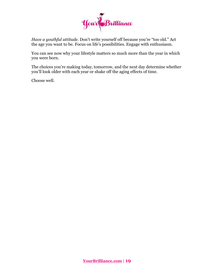

*Have a youthful attitude*. Don't write yourself off because you're "too old." Act the age you want to be. Focus on life's possibilities. Engage with enthusiasm.

You can see now why your lifestyle matters so much more than the year in which you were born.

The choices you're making today, tomorrow, and the next day determine whether you'll look older with each year or shake off the aging effects of time.

Choose well.